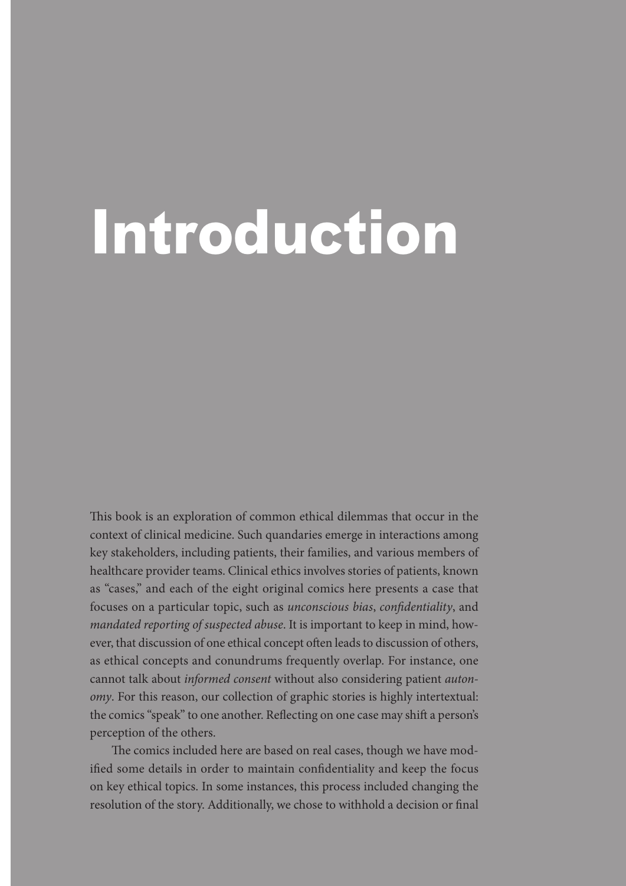## **Introduction**

This book is an exploration of common ethical dilemmas that occur in the context of clinical medicine. Such quandaries emerge in interactions among key stakeholders, including patients, their families, and various members of healthcare provider teams. Clinical ethics involves stories of patients, known as "cases," and each of the eight original comics here presents a case that focuses on a particular topic, such as *unconscious bias*, *confidentiality*, and *mandated reporting of suspected abuse*. It is important to keep in mind, however, that discussion of one ethical concept often leads to discussion of others, as ethical concepts and conundrums frequently overlap. For instance, one cannot talk about *informed consent* without also considering patient *autonomy*. For this reason, our collection of graphic stories is highly intertextual: the comics "speak" to one another. Reflecting on one case may shift a person's perception of the others.

The comics included here are based on real cases, though we have modified some details in order to maintain confidentiality and keep the focus on key ethical topics. In some instances, this process included changing the resolution of the story. Additionally, we chose to withhold a decision or final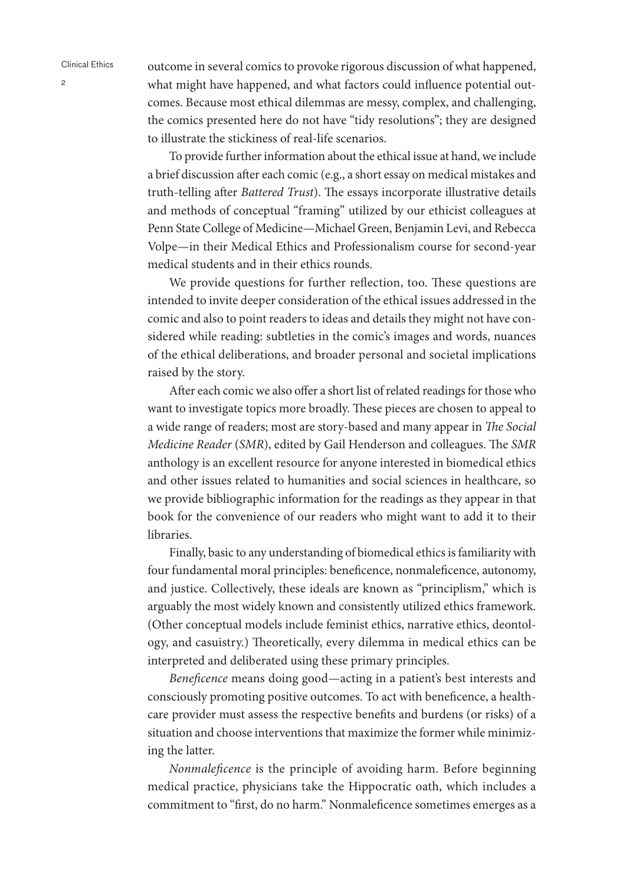outcome in several comics to provoke rigorous discussion of what happened, what might have happened, and what factors could influence potential outcomes. Because most ethical dilemmas are messy, complex, and challenging, the comics presented here do not have "tidy resolutions"; they are designed to illustrate the stickiness of real-life scenarios.

To provide further information about the ethical issue at hand, we include a brief discussion after each comic (e.g., a short essay on medical mistakes and truth-telling after *Battered Trust*). The essays incorporate illustrative details and methods of conceptual "framing" utilized by our ethicist colleagues at Penn State College of Medicine—Michael Green, Benjamin Levi, and Rebecca Volpe—in their Medical Ethics and Professionalism course for second-year medical students and in their ethics rounds.

We provide questions for further reflection, too. These questions are intended to invite deeper consideration of the ethical issues addressed in the comic and also to point readers to ideas and details they might not have considered while reading: subtleties in the comic's images and words, nuances of the ethical deliberations, and broader personal and societal implications raised by the story.

After each comic we also offer a short list of related readings for those who want to investigate topics more broadly. These pieces are chosen to appeal to a wide range of readers; most are story-based and many appear in *The Social Medicine Reader* (*SMR*), edited by Gail Henderson and colleagues. The *SMR* anthology is an excellent resource for anyone interested in biomedical ethics and other issues related to humanities and social sciences in healthcare, so we provide bibliographic information for the readings as they appear in that book for the convenience of our readers who might want to add it to their libraries.

Finally, basic to any understanding of biomedical ethics is familiarity with four fundamental moral principles: beneficence, nonmaleficence, autonomy, and justice. Collectively, these ideals are known as "principlism," which is arguably the most widely known and consistently utilized ethics framework. (Other conceptual models include feminist ethics, narrative ethics, deontology, and casuistry.) Theoretically, every dilemma in medical ethics can be interpreted and deliberated using these primary principles.

*Beneficence* means doing good—acting in a patient's best interests and consciously promoting positive outcomes. To act with beneficence, a healthcare provider must assess the respective benefits and burdens (or risks) of a situation and choose interventions that maximize the former while minimizing the latter.

*Nonmaleficence* is the principle of avoiding harm. Before beginning medical practice, physicians take the Hippocratic oath, which includes a commitment to "first, do no harm." Nonmaleficence sometimes emerges as a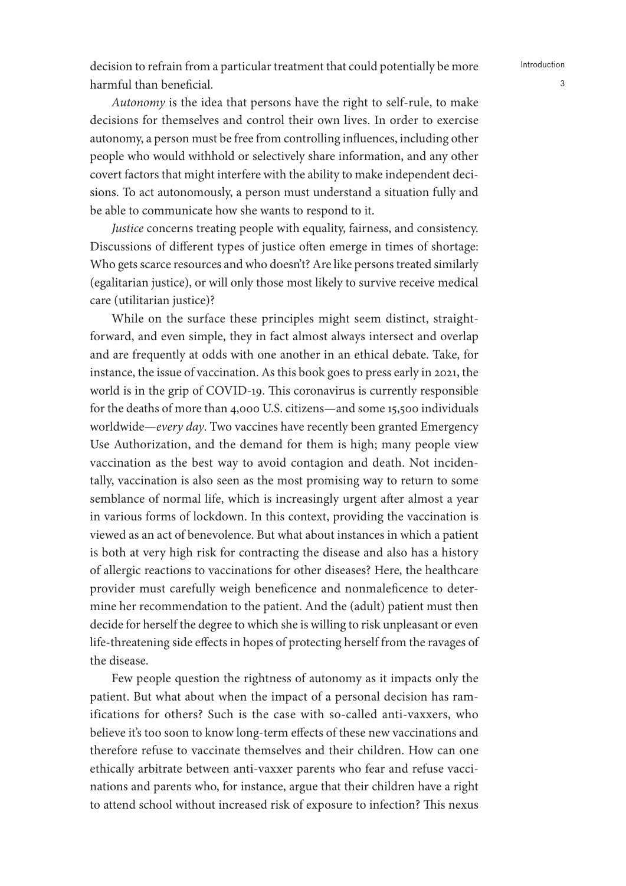decision to refrain from a particular treatment that could potentially be more harmful than beneficial.

*Autonomy* is the idea that persons have the right to self-rule, to make decisions for themselves and control their own lives. In order to exercise autonomy, a person must be free from controlling influences, including other people who would withhold or selectively share information, and any other covert factors that might interfere with the ability to make independent decisions. To act autonomously, a person must understand a situation fully and be able to communicate how she wants to respond to it.

*Justice* concerns treating people with equality, fairness, and consistency. Discussions of different types of justice often emerge in times of shortage: Who gets scarce resources and who doesn't? Are like persons treated similarly (egalitarian justice), or will only those most likely to survive receive medical care (utilitarian justice)?

While on the surface these principles might seem distinct, straightforward, and even simple, they in fact almost always intersect and overlap and are frequently at odds with one another in an ethical debate. Take, for instance, the issue of vaccination. As this book goes to press early in 2021, the world is in the grip of COVID-19. This coronavirus is currently responsible for the deaths of more than 4,000 U.S. citizens—and some 15,500 individuals worldwide—*every day*. Two vaccines have recently been granted Emergency Use Authorization, and the demand for them is high; many people view vaccination as the best way to avoid contagion and death. Not incidentally, vaccination is also seen as the most promising way to return to some semblance of normal life, which is increasingly urgent after almost a year in various forms of lockdown. In this context, providing the vaccination is viewed as an act of benevolence. But what about instances in which a patient is both at very high risk for contracting the disease and also has a history of allergic reactions to vaccinations for other diseases? Here, the healthcare provider must carefully weigh beneficence and nonmaleficence to determine her recommendation to the patient. And the (adult) patient must then decide for herself the degree to which she is willing to risk unpleasant or even life-threatening side effects in hopes of protecting herself from the ravages of the disease.

Few people question the rightness of autonomy as it impacts only the patient. But what about when the impact of a personal decision has ramifications for others? Such is the case with so-called anti-vaxxers, who believe it's too soon to know long-term effects of these new vaccinations and therefore refuse to vaccinate themselves and their children. How can one ethically arbitrate between anti-vaxxer parents who fear and refuse vaccinations and parents who, for instance, argue that their children have a right to attend school without increased risk of exposure to infection? This nexus